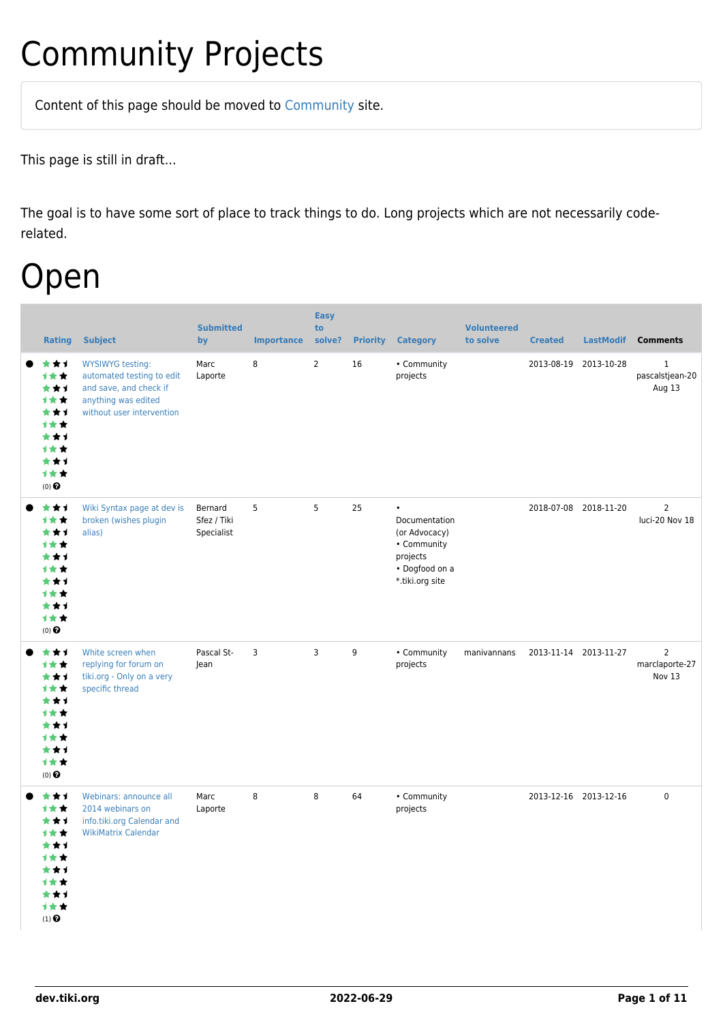# Community Projects

Content of this page should be [moved](https://dev.tiki.org/tiki-editpage.php?page=moved) to [Community](http://tiki.org/Community) site.

This page is still in draft...

The goal is to have some sort of place to track things to do. Long projects which are not necessarily coderelated.

### Open

| <b>Rating</b>                                                                                                    | <b>Subject</b>                                                                                                                     | <b>Submitted</b><br>by               | <b>Importance</b> | <b>Easy</b><br>to<br>solve? | <b>Priority</b> | <b>Category</b>                                                                                             | <b>Volunteered</b><br>to solve | <b>Created</b>        | <b>LastModif</b> | <b>Comments</b>                            |
|------------------------------------------------------------------------------------------------------------------|------------------------------------------------------------------------------------------------------------------------------------|--------------------------------------|-------------------|-----------------------------|-----------------|-------------------------------------------------------------------------------------------------------------|--------------------------------|-----------------------|------------------|--------------------------------------------|
| ***<br>1★★<br>***<br><b>1**</b><br>***<br>1★★<br>***<br>1★★<br>***<br>计女女<br>$(0)$ $\pmb{\Theta}$                | <b>WYSIWYG testing:</b><br>automated testing to edit<br>and save, and check if<br>anything was edited<br>without user intervention | Marc<br>Laporte                      | 8                 | $\overline{2}$              | 16              | • Community<br>projects                                                                                     |                                | 2013-08-19            | 2013-10-28       | $\mathbf{1}$<br>pascalstjean-20<br>Aug 13  |
| ***<br>1★★<br>***<br><b>1**</b><br>***<br><b>1**</b><br>***<br>1**<br>***<br>计女女<br>$(0)$ $\pmb{\Theta}$         | Wiki Syntax page at dev is<br>broken (wishes plugin<br>alias)                                                                      | Bernard<br>Sfez / Tiki<br>Specialist | 5                 | 5                           | 25              | $\bullet$<br>Documentation<br>(or Advocacy)<br>• Community<br>projects<br>• Dogfood on a<br>*.tiki.org site |                                | 2018-07-08 2018-11-20 |                  | $\overline{2}$<br>luci-20 Nov 18           |
| ***<br>1★★<br>***<br>1**<br>***<br><b>1**</b><br>***<br><b>1**</b><br>***<br>1★★<br>$(0)$ $\pmb{\Theta}$         | White screen when<br>replying for forum on<br>tiki.org - Only on a very<br>specific thread                                         | Pascal St-<br>Jean                   | 3                 | 3                           | 9               | • Community<br>projects                                                                                     | manivannans                    | 2013-11-14 2013-11-27 |                  | $\overline{2}$<br>marclaporte-27<br>Nov 13 |
| ***<br>1★★<br>***<br>1★★<br>***<br>1★★<br>***<br><b>1★★</b><br>★★1<br>计女女<br>$(1)$ <sup><math>\odot</math></sup> | Webinars: announce all<br>2014 webinars on<br>info.tiki.org Calendar and<br><b>WikiMatrix Calendar</b>                             | Marc<br>Laporte                      | 8                 | 8                           | 64              | • Community<br>projects                                                                                     |                                | 2013-12-16 2013-12-16 |                  | $\mathbf 0$                                |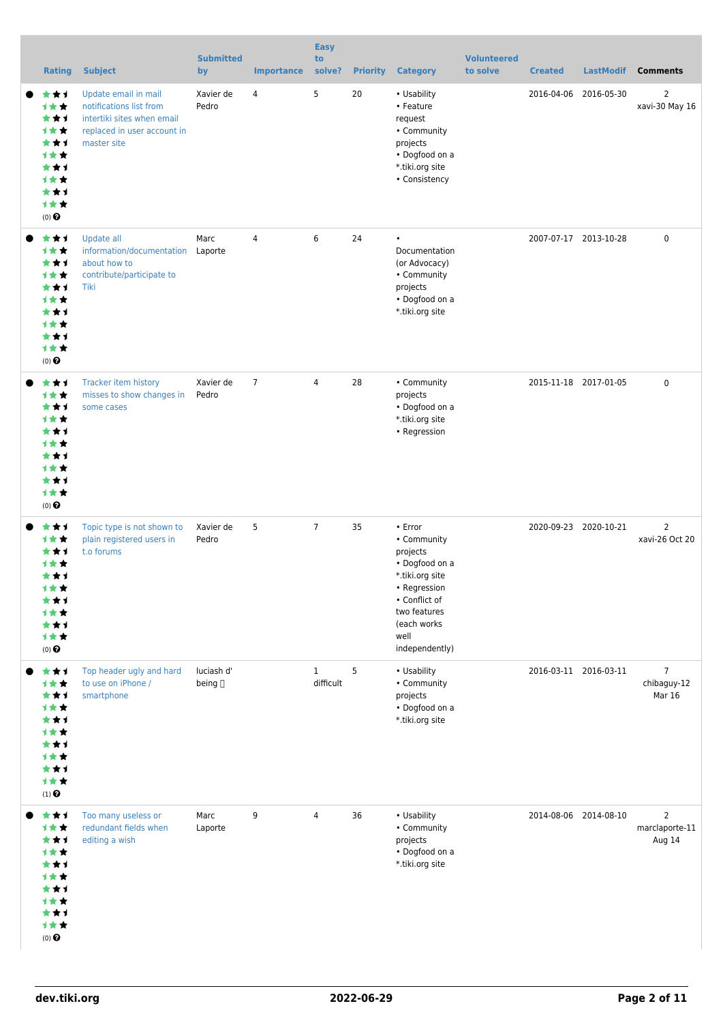| <b>Rating</b>                                                                                     | <b>Subject</b>                                                                                                              | <b>Submitted</b><br>by | <b>Importance</b> | <b>Easy</b><br>to<br>solve? | <b>Priority</b> | <b>Category</b>                                                                                                                                                   | <b>Volunteered</b><br>to solve | <b>Created</b> | <b>LastModif</b>      | <b>Comments</b>                            |
|---------------------------------------------------------------------------------------------------|-----------------------------------------------------------------------------------------------------------------------------|------------------------|-------------------|-----------------------------|-----------------|-------------------------------------------------------------------------------------------------------------------------------------------------------------------|--------------------------------|----------------|-----------------------|--------------------------------------------|
| ★★1<br>1★★<br>***<br>计女女<br>***<br><b>1**</b><br>***<br>计女女<br>***<br>计女女<br>$(0)$ $\odot$        | Update email in mail<br>notifications list from<br>intertiki sites when email<br>replaced in user account in<br>master site | Xavier de<br>Pedro     | 4                 | 5                           | 20              | • Usability<br>• Feature<br>request<br>• Community<br>projects<br>• Dogfood on a<br>*.tiki.org site<br>• Consistency                                              |                                | 2016-04-06     | 2016-05-30            | $\overline{2}$<br>xavi-30 May 16           |
| ★★1<br>计女女<br>***<br>计女女<br>***<br>计女女<br>***<br><b>1**</b><br>***<br>1★★<br>$(0)$ $\odot$        | Update all<br>information/documentation<br>about how to<br>contribute/participate to<br>Tiki                                | Marc<br>Laporte        | $\overline{4}$    | 6                           | 24              | $\bullet$<br>Documentation<br>(or Advocacy)<br>• Community<br>projects<br>• Dogfood on a<br>*.tiki.org site                                                       |                                |                | 2007-07-17 2013-10-28 | $\mathbf 0$                                |
| ★★1<br>计女女<br>***<br><b>1**</b><br>***<br>计女女<br>***<br><b>1**</b><br>***<br>计女女<br>$(0)$ $\odot$ | Tracker item history<br>misses to show changes in<br>some cases                                                             | Xavier de<br>Pedro     | $\overline{7}$    | 4                           | 28              | • Community<br>projects<br>• Dogfood on a<br>*.tiki.org site<br>• Regression                                                                                      |                                |                | 2015-11-18 2017-01-05 | $\mathbf 0$                                |
| ***<br>1**<br>***<br><b>1**</b><br>***<br>计女女<br>***<br>计女女<br>***<br>1★★<br>$(0)$ $\odot$        | Topic type is not shown to<br>plain registered users in<br>t.o forums                                                       | Xavier de<br>Pedro     | 5                 | $\overline{7}$              | 35              | • Error<br>• Community<br>projects<br>• Dogfood on a<br>*.tiki.org site<br>• Regression<br>• Conflict of<br>two features<br>(each works<br>well<br>independently) |                                |                | 2020-09-23 2020-10-21 | 2<br>xavi-26 Oct 20                        |
| ***<br>计女女<br>***<br>1★★<br>***<br>计女女<br>***<br>计女女<br>***<br>1★★<br>$(1)$ $\odot$               | Top header ugly and hard<br>to use on iPhone /<br>smartphone                                                                | luciash d'<br>being [] |                   | $\mathbf{1}$<br>difficult   | 5               | • Usability<br>• Community<br>projects<br>• Dogfood on a<br>*.tiki.org site                                                                                       |                                |                | 2016-03-11 2016-03-11 | $\overline{7}$<br>chibaguy-12<br>Mar 16    |
| ***<br>1★★<br>***<br>计女女<br>***<br>1**<br>***<br>计女女<br>***<br>计女女<br>$(0)$ $\odot$               | Too many useless or<br>redundant fields when<br>editing a wish                                                              | Marc<br>Laporte        | 9                 | 4                           | 36              | • Usability<br>• Community<br>projects<br>• Dogfood on a<br>*.tiki.org site                                                                                       |                                |                | 2014-08-06 2014-08-10 | $\overline{2}$<br>marclaporte-11<br>Aug 14 |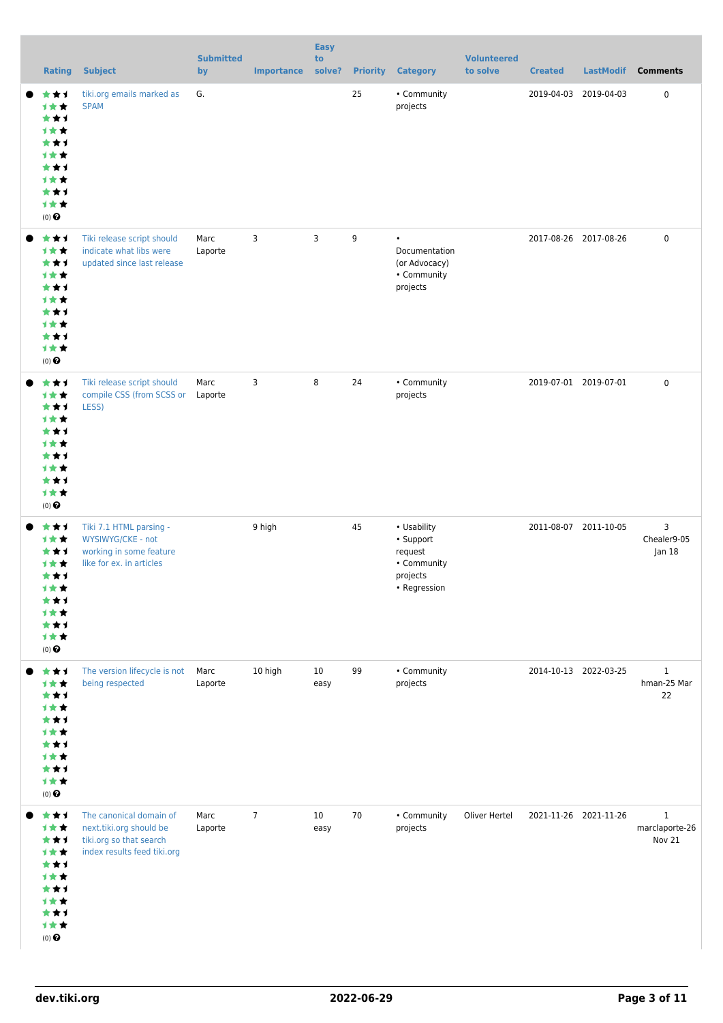| <b>Rating</b>                                                                       | <b>Subject</b>                                                                                               | <b>Submitted</b><br>by | <b>Importance</b> | <b>Easy</b><br>to<br>solve? |    | <b>Priority Category</b>                                                       | <b>Volunteered</b><br>to solve | <b>Created</b>        | <b>LastModif</b>      | <b>Comments</b>                          |
|-------------------------------------------------------------------------------------|--------------------------------------------------------------------------------------------------------------|------------------------|-------------------|-----------------------------|----|--------------------------------------------------------------------------------|--------------------------------|-----------------------|-----------------------|------------------------------------------|
| ***<br>1★★<br>***<br>1★★<br>***<br>计女女<br>***<br>计女女<br>***<br>计女女<br>$(0)$ $\odot$ | tiki.org emails marked as<br><b>SPAM</b>                                                                     | G.                     |                   |                             | 25 | • Community<br>projects                                                        |                                | 2019-04-03            | 2019-04-03            | $\mathbf 0$                              |
| ***<br>1★★<br>***<br>计女女<br>***<br>1**<br>***<br>1★★<br>***<br>计女女<br>$(0)$ $\odot$ | Tiki release script should<br>indicate what libs were<br>updated since last release                          | Marc<br>Laporte        | 3                 | 3                           | 9  | $\bullet$<br>Documentation<br>(or Advocacy)<br>• Community<br>projects         |                                | 2017-08-26 2017-08-26 |                       | $\mathbf 0$                              |
| ***<br>1★★<br>***<br>1★★<br>***<br>1★★<br>***<br>1★★<br>***<br>计女女<br>$(0)$ $\odot$ | Tiki release script should<br>compile CSS (from SCSS or Laporte<br>LESS)                                     | Marc                   | 3                 | 8                           | 24 | • Community<br>projects                                                        |                                |                       | 2019-07-01 2019-07-01 | $\mathbf 0$                              |
| ***<br>计女女<br>***<br>1★★<br>***<br>计女女<br>***<br>计女女<br>***<br>计女女<br>$(0)$ $\odot$ | Tiki 7.1 HTML parsing -<br>WYSIWYG/CKE - not<br>working in some feature<br>like for ex. in articles          |                        | 9 high            |                             | 45 | • Usability<br>• Support<br>request<br>• Community<br>projects<br>• Regression |                                |                       | 2011-08-07 2011-10-05 | 3<br>Chealer9-05<br>Jan 18               |
| ***<br>1★★<br>***<br>1★★<br>***<br>1★★<br>***<br>1★★<br>***<br>计女女<br>$(0)$ $\odot$ | The version lifecycle is not<br>being respected                                                              | Marc<br>Laporte        | 10 high           | 10<br>easy                  | 99 | • Community<br>projects                                                        |                                |                       | 2014-10-13 2022-03-25 | $\mathbf{1}$<br>hman-25 Mar<br>22        |
| ***<br>1★★<br>***<br>计女女<br>***<br>计女女<br>***<br>计女女<br>***<br>计女女<br>$(0)$ $\odot$ | The canonical domain of<br>next.tiki.org should be<br>tiki.org so that search<br>index results feed tiki.org | Marc<br>Laporte        | $\overline{7}$    | 10<br>easy                  | 70 | • Community<br>projects                                                        | Oliver Hertel                  |                       | 2021-11-26 2021-11-26 | $\mathbf{1}$<br>marclaporte-26<br>Nov 21 |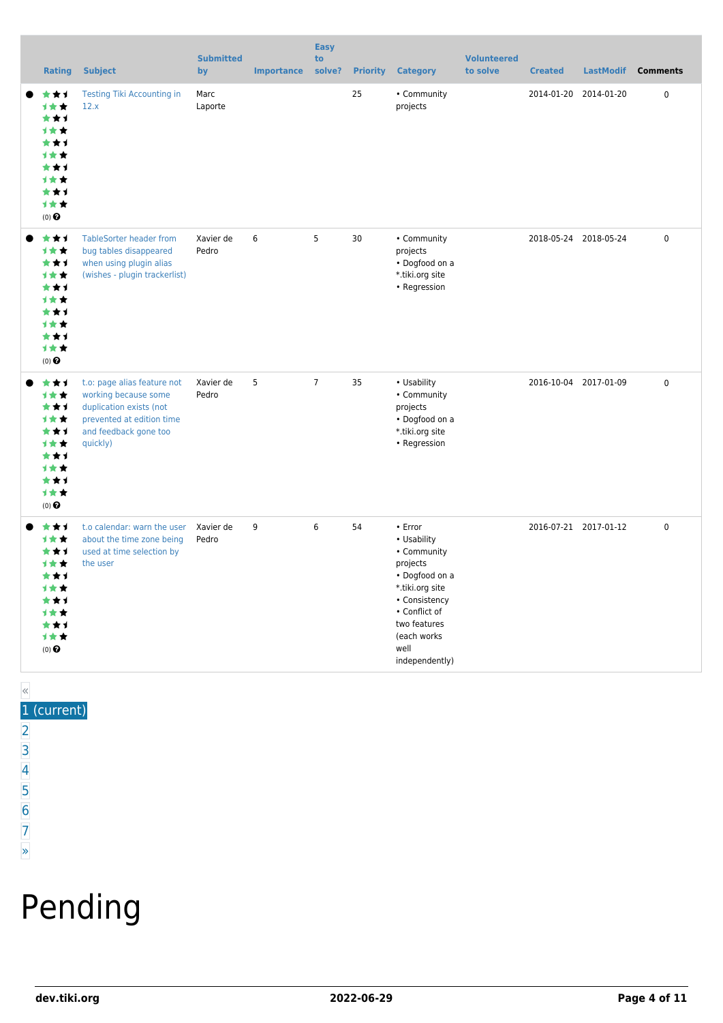| <b>Rating</b>                                                                                                           | <b>Subject</b>                                                                                                                                   | <b>Submitted</b><br>by | <b>Importance</b> | <b>Easy</b><br>to<br>solve? | <b>Priority</b> | <b>Category</b>                                                                                                                                                                    | <b>Volunteered</b><br>to solve | <b>Created</b> | <b>LastModif</b>      | <b>Comments</b> |
|-------------------------------------------------------------------------------------------------------------------------|--------------------------------------------------------------------------------------------------------------------------------------------------|------------------------|-------------------|-----------------------------|-----------------|------------------------------------------------------------------------------------------------------------------------------------------------------------------------------------|--------------------------------|----------------|-----------------------|-----------------|
| ***<br>1★★<br>***<br><b>1**</b><br>★★1<br>***<br>***<br><b>1**</b><br>***<br><b>1**</b><br>$(0)$ $\odot$                | <b>Testing Tiki Accounting in</b><br>12.x                                                                                                        | Marc<br>Laporte        |                   |                             | 25              | • Community<br>projects                                                                                                                                                            |                                | 2014-01-20     | 2014-01-20            | $\pmb{0}$       |
| ***<br>计女女<br>***<br>1★★<br>***<br>1★★<br>***<br><b>1**</b><br>***<br>计女女<br>$(0)$ $\odot$                              | <b>TableSorter header from</b><br>bug tables disappeared<br>when using plugin alias<br>(wishes - plugin trackerlist)                             | Xavier de<br>Pedro     | 6                 | 5                           | 30              | • Community<br>projects<br>• Dogfood on a<br>*.tiki.org site<br>• Regression                                                                                                       |                                |                | 2018-05-24 2018-05-24 | 0               |
| ***<br>计女女<br>***<br>计女女<br>***<br><b>1**</b><br>***<br>1★★<br>***<br>1★★<br>$(0)$ $\odot$                              | t.o: page alias feature not<br>working because some<br>duplication exists (not<br>prevented at edition time<br>and feedback gone too<br>quickly) | Xavier de<br>Pedro     | 5                 | $\overline{7}$              | 35              | • Usability<br>• Community<br>projects<br>• Dogfood on a<br>*.tiki.org site<br>• Regression                                                                                        |                                |                | 2016-10-04 2017-01-09 | $\mathbf 0$     |
| ***<br>计女女<br>***<br><b>1**</b><br>***<br>***<br>***<br><b>1**</b><br>***<br>计女女<br>$(0)$ <sup><math>\odot</math></sup> | t.o calendar: warn the user<br>about the time zone being<br>used at time selection by<br>the user                                                | Xavier de<br>Pedro     | 9                 | 6                           | 54              | • Error<br>• Usability<br>• Community<br>projects<br>• Dogfood on a<br>*.tiki.org site<br>• Consistency<br>• Conflict of<br>two features<br>(each works)<br>well<br>independently) |                                |                | 2016-07-21 2017-01-12 | $\pmb{0}$       |

#### « 1 (current)

- $\overline{2}$  $\overline{2}$  $\overline{2}$ [3](https://dev.tiki.org/tiki-print.php?tr_sort_mode1=f_26_desc&page=Community+Projects&tr_offset1=40)
- [4](https://dev.tiki.org/tiki-print.php?tr_sort_mode1=f_26_desc&page=Community+Projects&tr_offset1=60)
- [5](https://dev.tiki.org/tiki-print.php?tr_sort_mode1=f_26_desc&page=Community+Projects&tr_offset1=80)
- [6](https://dev.tiki.org/tiki-print.php?tr_sort_mode1=f_26_desc&page=Community+Projects&tr_offset1=100)
- [7](https://dev.tiki.org/tiki-print.php?tr_sort_mode1=f_26_desc&page=Community+Projects&tr_offset1=120)

#### [»](https://dev.tiki.org/tiki-print.php?tr_sort_mode1=f_26_desc&page=Community+Projects&tr_offset1=20)

# Pending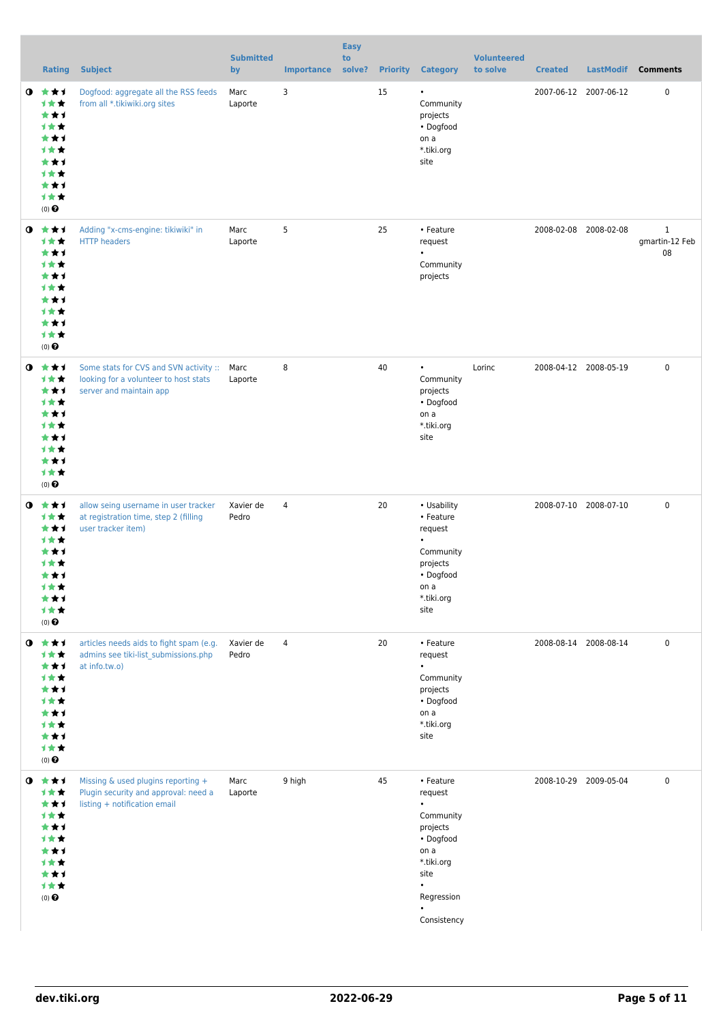|           | <b>Rating</b>                                                                                   | <b>Subject</b>                                                                                             | <b>Submitted</b><br>by | <b>Importance</b> | <b>Easy</b><br>to |    | solve? Priority Category                                                                                                                        | <b>Volunteered</b><br>to solve | <b>Created</b> | LastModif             | <b>Comments</b>                      |
|-----------|-------------------------------------------------------------------------------------------------|------------------------------------------------------------------------------------------------------------|------------------------|-------------------|-------------------|----|-------------------------------------------------------------------------------------------------------------------------------------------------|--------------------------------|----------------|-----------------------|--------------------------------------|
| $\bullet$ | ***<br>计女女<br>***<br><b>1**</b><br>***<br>计女女<br>***<br>计女女<br>***<br>计女女<br>$(0)$ $\odot$      | Dogfood: aggregate all the RSS feeds<br>from all *.tikiwiki.org sites                                      | Marc<br>Laporte        | 3                 |                   | 15 | ٠<br>Community<br>projects<br>• Dogfood<br>on a<br>*.tiki.org<br>site                                                                           |                                |                | 2007-06-12 2007-06-12 | $\mathbf 0$                          |
| $\bullet$ | ***<br>1★★<br>***<br>计女女<br>***<br><b>1**</b><br>***<br>1★★<br>***<br>1★★<br>$(0)$ $\odot$      | Adding "x-cms-engine: tikiwiki" in<br><b>HTTP</b> headers                                                  | Marc<br>Laporte        | 5                 |                   | 25 | • Feature<br>request<br>$\bullet$<br>Community<br>projects                                                                                      |                                |                | 2008-02-08 2008-02-08 | $\mathbf{1}$<br>gmartin-12 Feb<br>08 |
| $\bullet$ | ***<br>计女女<br>***<br>1★★<br>***<br><b>1**</b><br>***<br>计女女<br>***<br>计女女<br>$(0)$ $\odot$      | Some stats for CVS and SVN activity ::<br>looking for a volunteer to host stats<br>server and maintain app | Marc<br>Laporte        | 8                 |                   | 40 | $\bullet$<br>Community<br>projects<br>• Dogfood<br>on a<br>*.tiki.org<br>site                                                                   | Lorinc                         |                | 2008-04-12 2008-05-19 | $\mathbf 0$                          |
| $\bullet$ | ***<br>1★★<br>***<br><b>1**</b><br>***<br>1 * *<br>***<br>才女女<br>***<br>计女女<br>$(0)$ $\odot$    | allow seing username in user tracker<br>at registration time, step 2 (filling<br>user tracker item)        | Xavier de<br>Pedro     | $\overline{4}$    |                   | 20 | • Usability<br>• Feature<br>request<br>Community<br>projects<br>• Dogfood<br>on a<br>*.tiki.org<br>site                                         |                                |                | 2008-07-10 2008-07-10 | $\mathbf 0$                          |
|           | $0$ $*$ $*$ $*$<br>计女女<br>***<br>计女女<br>***<br>计女女<br>***<br>计女女<br>***<br>计女女<br>$(0)$ $\odot$ | articles needs aids to fight spam (e.g.<br>admins see tiki-list submissions.php<br>at info.tw.o)           | Xavier de<br>Pedro     | $\overline{4}$    |                   | 20 | • Feature<br>request<br>$\bullet$<br>Community<br>projects<br>• Dogfood<br>on a<br>*.tiki.org<br>site                                           |                                |                | 2008-08-14 2008-08-14 | $\mathbf 0$                          |
| $\bullet$ | 大大士<br>计女女<br>***<br>1★★<br>***<br>计女女<br>***<br>计女女<br>***<br>计女女<br>$(0)$ $\odot$             | Missing & used plugins reporting +<br>Plugin security and approval: need a<br>listing + notification email | Marc<br>Laporte        | 9 high            |                   | 45 | • Feature<br>request<br>$\bullet$<br>Community<br>projects<br>• Dogfood<br>on a<br>*.tiki.org<br>site<br>$\bullet$<br>Regression<br>Consistency |                                |                | 2008-10-29 2009-05-04 | $\mathbf 0$                          |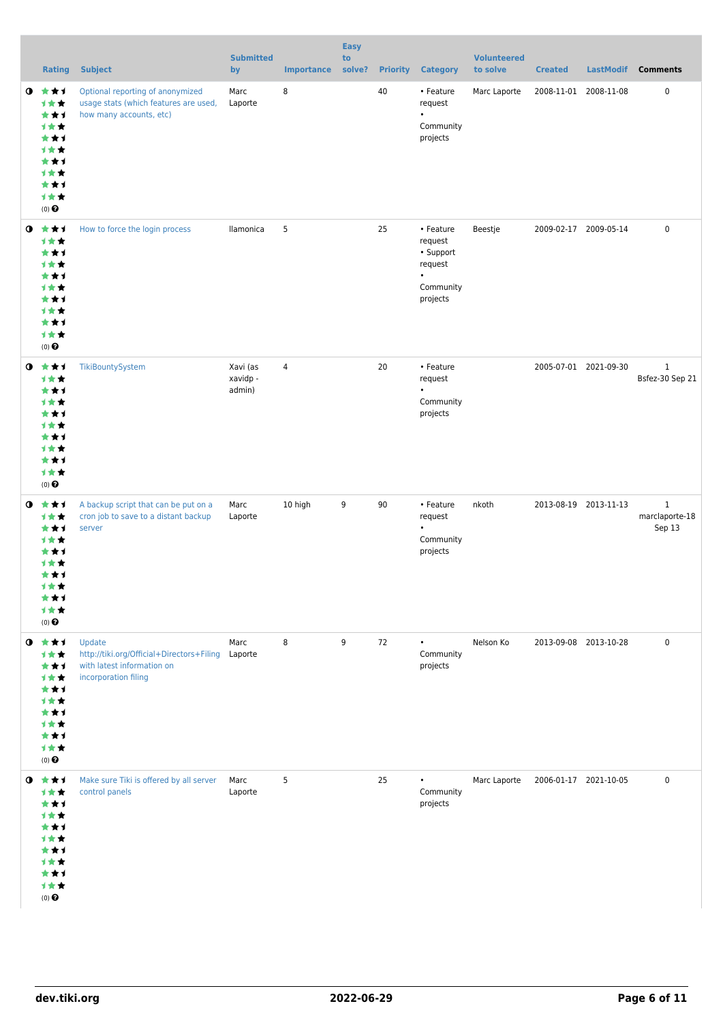|           | <b>Rating</b>                                                                                                                   | <b>Subject</b>                                                                                                    | <b>Submitted</b><br>by         | <b>Importance</b> | <b>Easy</b><br>to<br>solve? |    | <b>Priority Category</b>                                                           | <b>Volunteered</b><br>to solve | <b>Created</b>        | <b>LastModif</b> | <b>Comments</b>                          |
|-----------|---------------------------------------------------------------------------------------------------------------------------------|-------------------------------------------------------------------------------------------------------------------|--------------------------------|-------------------|-----------------------------|----|------------------------------------------------------------------------------------|--------------------------------|-----------------------|------------------|------------------------------------------|
|           | $0 \star \star \star$<br>计女女<br>***<br>1★★<br>***<br>计女女<br>***<br>计女女<br>***<br>计女女<br>$(0)$ $\Theta$                          | Optional reporting of anonymized<br>usage stats (which features are used,<br>how many accounts, etc)              | Marc<br>Laporte                | 8                 |                             | 40 | • Feature<br>request<br>$\bullet$<br>Community<br>projects                         | Marc Laporte                   | 2008-11-01 2008-11-08 |                  | 0                                        |
|           | $0 \star \star \star$<br>1★★<br>***<br>计女女<br>***<br>1★★<br>***<br>计女女<br>***<br>计女女<br>$(0)$ $\Theta$                          | How to force the login process                                                                                    | llamonica                      | 5                 |                             | 25 | • Feature<br>request<br>• Support<br>request<br>$\bullet$<br>Community<br>projects | Beestje                        | 2009-02-17 2009-05-14 |                  | 0                                        |
| $\bullet$ | ***<br>1★★<br>***<br><b>1**</b><br>***<br>计女女<br>***<br>计女女<br>***<br>计女女<br>$(0)$ $\odot$                                      | TikiBountySystem                                                                                                  | Xavi (as<br>xavidp -<br>admin) | $\overline{4}$    |                             | 20 | • Feature<br>request<br>$\bullet$<br>Community<br>projects                         |                                | 2005-07-01 2021-09-30 |                  | $\mathbf{1}$<br>Bsfez-30 Sep 21          |
| $\bullet$ | ***<br>计女女<br>***<br>计女女<br>***<br><b>1 ★ ★</b><br>***<br>才女女<br>***<br>计女女<br>$(0)$ $\odot$                                    | A backup script that can be put on a<br>cron job to save to a distant backup<br>server                            | Marc<br>Laporte                | 10 high           | 9                           | 90 | • Feature<br>request<br>$\bullet$<br>Community<br>projects                         | nkoth                          | 2013-08-19 2013-11-13 |                  | $\mathbf{1}$<br>marclaporte-18<br>Sep 13 |
|           | $0$ $\star\star\star$<br>计女女<br>***<br>计女女<br>***<br>计女女<br>***<br>计女女<br>***<br>计女女<br>$(0)$<br>$\pmb{\Theta}$                 | Update<br>http://tiki.org/Official+Directors+Filing Laporte<br>with latest information on<br>incorporation filing | Marc                           | 8                 | 9                           | 72 | $\bullet$<br>Community<br>projects                                                 | Nelson Ko                      | 2013-09-08 2013-10-28 |                  | $\mathbf 0$                              |
|           | $0 \star \star \star$<br>计女女<br>***<br>计女女<br>***<br><b>1**</b><br>***<br><b>1 ★ ★</b><br>***<br>计女女<br>$(0)$<br>$\pmb{\Theta}$ | Make sure Tiki is offered by all server<br>control panels                                                         | Marc<br>Laporte                | 5                 |                             | 25 | $\bullet$<br>Community<br>projects                                                 | Marc Laporte                   | 2006-01-17 2021-10-05 |                  | 0                                        |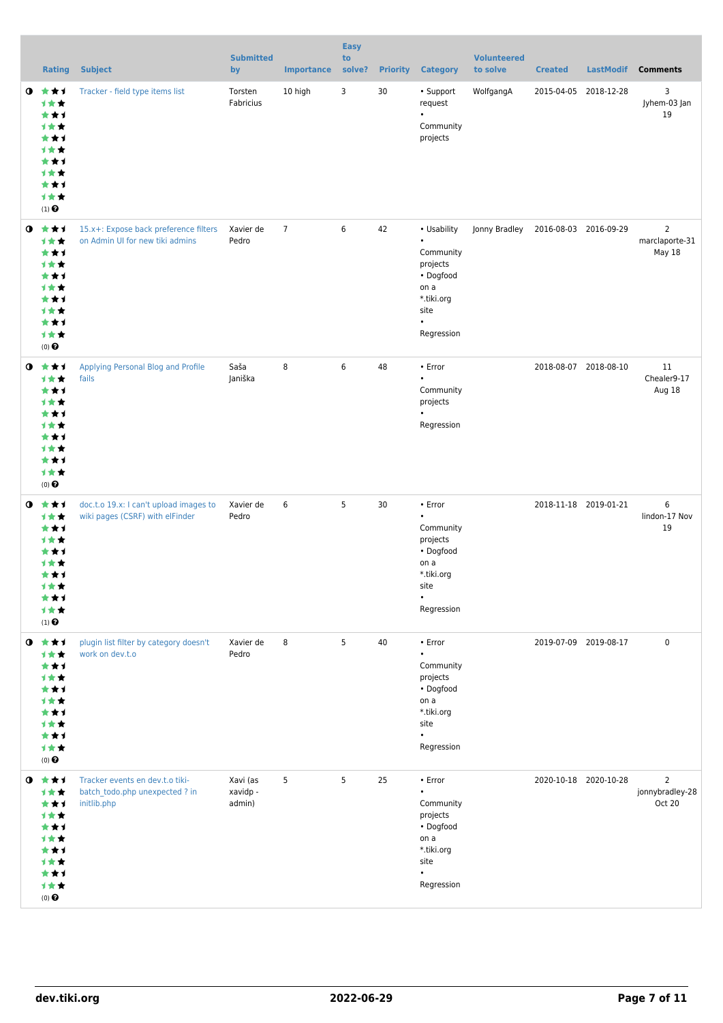|             | <b>Rating</b>                                                                                                          | <b>Subject</b>                                                                   | <b>Submitted</b><br>by         | <b>Importance</b> | <b>Easy</b><br>to<br>solve? | <b>Priority</b> | <b>Category</b>                                                                                                           | <b>Volunteered</b><br>to solve | <b>Created</b>        | <b>LastModif</b>      | <b>Comments</b>                             |
|-------------|------------------------------------------------------------------------------------------------------------------------|----------------------------------------------------------------------------------|--------------------------------|-------------------|-----------------------------|-----------------|---------------------------------------------------------------------------------------------------------------------------|--------------------------------|-----------------------|-----------------------|---------------------------------------------|
| $\mathbf o$ | ***<br>计女女<br>***<br>计女女<br>***<br>计女女<br>***<br>计女女<br>***<br>计女女<br>$(1)$ $\odot$                                    | Tracker - field type items list                                                  | Torsten<br>Fabricius           | 10 high           | 3                           | 30              | • Support<br>request<br>$\bullet$<br>Community<br>projects                                                                | WolfgangA                      | 2015-04-05 2018-12-28 |                       | 3<br>Jyhem-03 Jan<br>19                     |
| $\bullet$   | ***<br>计女女<br>***<br>计女女<br>***<br>计女女<br>***<br>计女女<br>***<br>计女女<br>$(0)$ $\odot$                                    | 15.x+: Expose back preference filters<br>on Admin UI for new tiki admins         | Xavier de<br>Pedro             | $\overline{7}$    | 6                           | 42              | • Usability<br>$\bullet$<br>Community<br>projects<br>• Dogfood<br>on a<br>*.tiki.org<br>site<br>$\bullet$<br>Regression   | Jonny Bradley                  | 2016-08-03 2016-09-29 |                       | $\overline{2}$<br>marclaporte-31<br>May 18  |
| $\mathbf o$ | ***<br>计女女<br>***<br>计女女<br>***<br>计女女<br>***<br>计女女<br>***<br>1★★<br>$(0)$ $\odot$                                    | Applying Personal Blog and Profile<br>fails                                      | Saša<br>Janiška                | 8                 | 6                           | 48              | • Error<br>$\bullet$<br>Community<br>projects<br>Regression                                                               |                                | 2018-08-07 2018-08-10 |                       | 11<br>Chealer9-17<br>Aug 18                 |
|             | $0 \star \star \star$<br>计女女<br>***<br>计女女<br>★★1<br>计女女<br>***<br><b>1★★</b><br>***<br>计女女<br>$(1)$<br>$\pmb{\Theta}$ | doc.t.o 19.x: I can't upload images to<br>wiki pages (CSRF) with elFinder        | Xavier de<br>Pedro             | 6                 | 5                           | 30              | • Error<br>$\bullet$<br>Community<br>projects<br>• Dogfood<br>on a<br>*.tiki.org<br>site<br>$\bullet$<br>Regression       |                                | 2018-11-18 2019-01-21 |                       | 6<br>lindon-17 Nov<br>19                    |
|             | $0$ $*$ $*$ $*$<br>计女女<br>***<br>计女女<br>***<br>计女女<br>***<br>计女女<br>***<br>计女女<br>$(0)$ $\Theta$                       | plugin list filter by category doesn't<br>work on dev.t.o                        | Xavier de<br>Pedro             | 8                 | 5                           | 40              | $\cdot$ Error<br>$\bullet$<br>Community<br>projects<br>• Dogfood<br>on a<br>*.tiki.org<br>site<br>$\bullet$<br>Regression |                                | 2019-07-09 2019-08-17 |                       | $\mathbf 0$                                 |
| $\bullet$   | ***<br>计女女<br>***<br>***<br>***<br>计女女<br>***<br>计女女<br>***<br>计女女<br>$(0)$ $\Theta$                                   | Tracker events en dev.t.o tiki-<br>batch todo.php unexpected ? in<br>initlib.php | Xavi (as<br>xavidp -<br>admin) | 5                 | 5                           | 25              | • Error<br>$\bullet$<br>Community<br>projects<br>• Dogfood<br>on a<br>*.tiki.org<br>site<br>Regression                    |                                |                       | 2020-10-18 2020-10-28 | $\overline{2}$<br>jonnybradley-28<br>Oct 20 |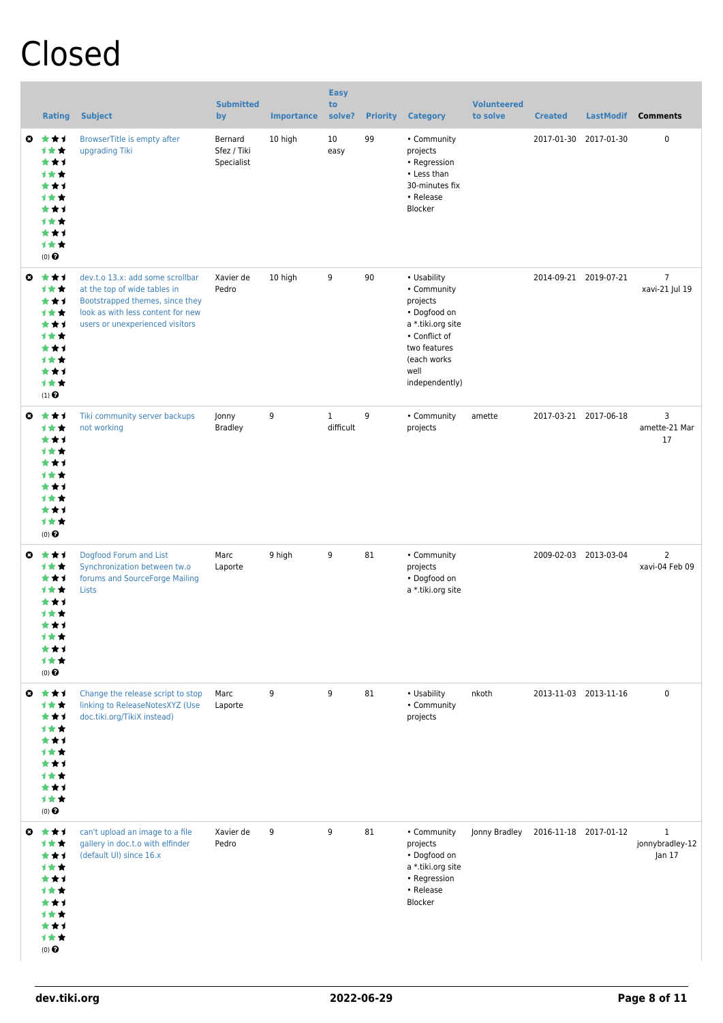# Closed

|                       | <b>Rating</b>                                                                              | <b>Subject</b>                                                                                                                                                              | <b>Submitted</b><br>by               | <b>Importance</b> | <b>Easy</b><br>to<br>solve? | <b>Priority</b> | <b>Category</b>                                                                                                                                       | <b>Volunteered</b><br>to solve | <b>Created</b>        | <b>LastModif</b>      | <b>Comments</b>                           |
|-----------------------|--------------------------------------------------------------------------------------------|-----------------------------------------------------------------------------------------------------------------------------------------------------------------------------|--------------------------------------|-------------------|-----------------------------|-----------------|-------------------------------------------------------------------------------------------------------------------------------------------------------|--------------------------------|-----------------------|-----------------------|-------------------------------------------|
| $\boldsymbol{\Omega}$ | ***<br>计女女<br>***<br>计女女<br>***<br>计女女<br>***<br>1**<br>***<br>1★★<br>$(0)$ $\odot$        | BrowserTitle is empty after<br>upgrading Tiki                                                                                                                               | Bernard<br>Sfez / Tiki<br>Specialist | 10 high           | 10<br>easy                  | 99              | • Community<br>projects<br>• Regression<br>• Less than<br>30-minutes fix<br>• Release<br>Blocker                                                      |                                | 2017-01-30            | 2017-01-30            | 0                                         |
| $\boldsymbol{\Omega}$ | ***<br>计女女<br>***<br>1★★<br>***<br><b>1★★</b><br>***<br>1★★<br>***<br>1★★<br>$(1)$ $\odot$ | dev.t.o 13.x: add some scrollbar<br>at the top of wide tables in<br>Bootstrapped themes, since they<br>look as with less content for new<br>users or unexperienced visitors | Xavier de<br>Pedro                   | 10 high           | 9                           | 90              | • Usability<br>• Community<br>projects<br>• Dogfood on<br>a *.tiki.org site<br>• Conflict of<br>two features<br>(each works<br>well<br>independently) |                                |                       | 2014-09-21 2019-07-21 | $\overline{7}$<br>xavi-21 Jul 19          |
| $\boldsymbol{\omega}$ | ***<br>1★★<br>***<br>计女女<br>***<br>计女女<br>***<br>计女女<br>***<br>1★★<br>$(0)$ $\pmb{\Theta}$ | Tiki community server backups<br>not working                                                                                                                                | Jonny<br><b>Bradley</b>              | 9                 | $\mathbf{1}$<br>difficult   | 9               | • Community<br>projects                                                                                                                               | amette                         |                       | 2017-03-21 2017-06-18 | 3<br>amette-21 Mar<br>17                  |
| $\boldsymbol{\Omega}$ | ***<br>计女女<br>***<br>计女女<br>***<br>1★★<br>***<br>1★★<br>*1<br>计女女<br>$(0)$ $\Theta$        | Dogfood Forum and List<br>Synchronization between tw.o<br>forums and SourceForge Mailing<br>Lists                                                                           | Marc<br>Laporte                      | 9 high            | 9                           | 81              | • Community<br>projects<br>• Dogfood on<br>a *.tiki.org site                                                                                          |                                |                       | 2009-02-03 2013-03-04 | $\overline{2}$<br>xavi-04 Feb 09          |
|                       | ◎ ★★1<br>***<br>***<br>计女女<br>***<br>计女女<br>***<br>1★★<br>***<br>计女女<br>$(0)$ $\Theta$     | Change the release script to stop<br>linking to ReleaseNotesXYZ (Use<br>doc.tiki.org/TikiX instead)                                                                         | Marc<br>Laporte                      | 9                 | 9                           | 81              | • Usability<br>• Community<br>projects                                                                                                                | nkoth                          |                       | 2013-11-03 2013-11-16 | $\pmb{0}$                                 |
|                       | ◎ ★★1<br>计女女<br>***<br>计女女<br>***<br>计女女<br>***<br>1★★<br>***<br>1★★<br>$(0)$ $\odot$      | can't upload an image to a file<br>gallery in doc.t.o with elfinder<br>(default UI) since 16.x                                                                              | Xavier de<br>Pedro                   | 9                 | 9                           | 81              | • Community<br>projects<br>• Dogfood on<br>a *.tiki.org site<br>• Regression<br>• Release<br>Blocker                                                  | Jonny Bradley                  | 2016-11-18 2017-01-12 |                       | $\mathbf{1}$<br>jonnybradley-12<br>Jan 17 |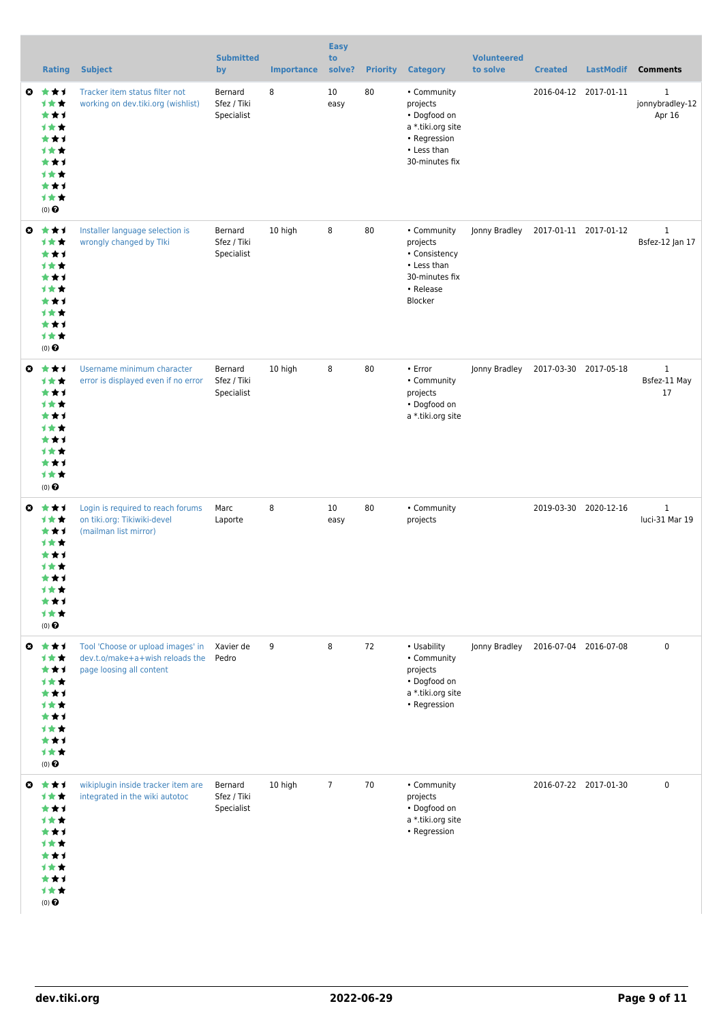|   | <b>Rating</b>                                                                         | <b>Subject</b>                                                                                   | <b>Submitted</b><br>by               | <b>Importance</b> | <b>Easy</b><br>to<br>solve? | <b>Priority</b> | <b>Category</b>                                                                                               | <b>Volunteered</b><br>to solve | <b>Created</b>        | <b>LastModif</b>      | <b>Comments</b>                           |
|---|---------------------------------------------------------------------------------------|--------------------------------------------------------------------------------------------------|--------------------------------------|-------------------|-----------------------------|-----------------|---------------------------------------------------------------------------------------------------------------|--------------------------------|-----------------------|-----------------------|-------------------------------------------|
| O | 大大才<br>计女女<br>***<br>1★★<br>***<br>计女女<br>***<br>计女女<br>***<br>1★★<br>(0)             | Tracker item status filter not<br>working on dev.tiki.org (wishlist)                             | Bernard<br>Sfez / Tiki<br>Specialist | 8                 | 10<br>easy                  | 80              | • Community<br>projects<br>• Dogfood on<br>a *.tiki.org site<br>• Regression<br>• Less than<br>30-minutes fix |                                |                       | 2016-04-12 2017-01-11 | $\mathbf{1}$<br>jonnybradley-12<br>Apr 16 |
| O | ***<br>计女女<br>***<br>计女女<br>***<br>计女女<br>***<br>计女女<br>***<br>1★★<br>(0)             | Installer language selection is<br>wrongly changed by Tlki                                       | Bernard<br>Sfez / Tiki<br>Specialist | 10 high           | 8                           | 80              | • Community<br>projects<br>• Consistency<br>• Less than<br>30-minutes fix<br>• Release<br>Blocker             | Jonny Bradley                  | 2017-01-11 2017-01-12 |                       | $\mathbf{1}$<br>Bsfez-12 Jan 17           |
| O | ***<br>计女女<br>***<br>1★★<br>***<br>计女女<br>***<br>计女女<br>***<br>计女女<br>$(0)$ $\odot$   | Username minimum character<br>error is displayed even if no error                                | Bernard<br>Sfez / Tiki<br>Specialist | 10 high           | 8                           | 80              | • Error<br>• Community<br>projects<br>• Dogfood on<br>a *.tiki.org site                                       | Jonny Bradley                  | 2017-03-30 2017-05-18 |                       | $\mathbf{1}$<br>Bsfez-11 May<br>17        |
| O | ***<br>计女女<br>***<br>计女女<br>***<br>计女女<br>***<br>计女女<br>***<br>计女女<br>$(0)$ $\odot$   | Login is required to reach forums<br>on tiki.org: Tikiwiki-devel<br>(mailman list mirror)        | Marc<br>Laporte                      | 8                 | 10<br>easy                  | 80              | • Community<br>projects                                                                                       |                                |                       | 2019-03-30 2020-12-16 | $\mathbf{1}$<br>luci-31 Mar 19            |
| ◒ | ***<br>计女女<br>***<br>计女女<br>***<br>计女女<br>***<br>计女女<br>***<br>计女女<br>$(0)$ $\odot$   | Tool 'Choose or upload images' in<br>dev.t.o/make+a+wish reloads the<br>page loosing all content | Xavier de<br>Pedro                   | 9                 | 8                           | 72              | • Usability<br>• Community<br>projects<br>• Dogfood on<br>a *.tiki.org site<br>• Regression                   | Jonny Bradley                  | 2016-07-04 2016-07-08 |                       | $\mathbf 0$                               |
|   | ◎ ★★1<br>计女女<br>***<br>计女女<br>***<br>计女女<br>***<br>计女女<br>***<br>计女女<br>$(0)$ $\odot$ | wikiplugin inside tracker item are<br>integrated in the wiki autotoc                             | Bernard<br>Sfez / Tiki<br>Specialist | 10 high           | $\overline{7}$              | 70              | • Community<br>projects<br>• Dogfood on<br>a *.tiki.org site<br>• Regression                                  |                                |                       | 2016-07-22 2017-01-30 | $\mathbf 0$                               |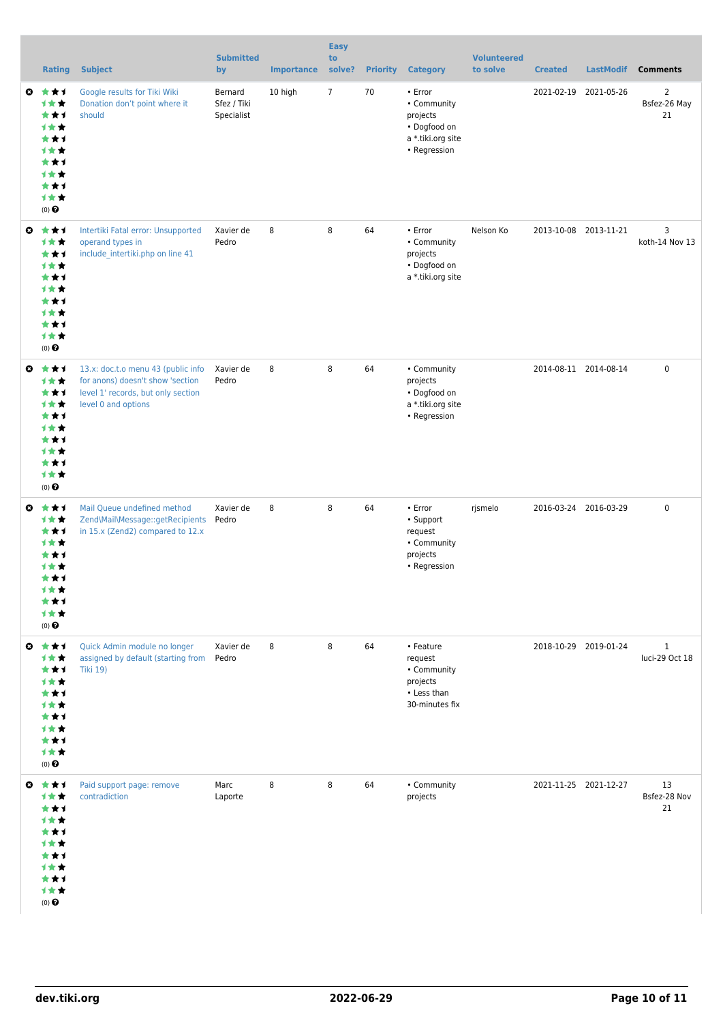|                       | <b>Rating</b>                                                                                            | <b>Subject</b>                                                                                                                      | <b>Submitted</b><br>by               | <b>Importance</b> | <b>Easy</b><br>to<br>solve? | <b>Priority</b> | <b>Category</b>                                                                         | <b>Volunteered</b><br>to solve | <b>Created</b> | <b>LastModif</b>      | <b>Comments</b>                      |
|-----------------------|----------------------------------------------------------------------------------------------------------|-------------------------------------------------------------------------------------------------------------------------------------|--------------------------------------|-------------------|-----------------------------|-----------------|-----------------------------------------------------------------------------------------|--------------------------------|----------------|-----------------------|--------------------------------------|
| $\bullet$             | ***<br>计女女<br>***<br>计女女<br>***<br>计女女<br>***<br>计女女<br>***<br>计女女<br>$(0)$ $\odot$                      | Google results for Tiki Wiki<br>Donation don't point where it<br>should                                                             | Bernard<br>Sfez / Tiki<br>Specialist | 10 high           | $7\overline{ }$             | 70              | • Error<br>• Community<br>projects<br>• Dogfood on<br>a *.tiki.org site<br>• Regression |                                | 2021-02-19     | 2021-05-26            | $\overline{2}$<br>Bsfez-26 May<br>21 |
| $\bullet$             | ***<br>计女女<br>***<br>计女女<br>***<br>计女女<br>***<br>计女女<br>***<br>计女女<br>(0)                                | Intertiki Fatal error: Unsupported<br>operand types in<br>include intertiki.php on line 41                                          | Xavier de<br>Pedro                   | 8                 | 8                           | 64              | • Error<br>• Community<br>projects<br>• Dogfood on<br>a *.tiki.org site                 | Nelson Ko                      |                | 2013-10-08 2013-11-21 | 3<br>koth-14 Nov 13                  |
| O                     | ***<br>计女女<br>***<br>计女女<br>***<br>计女女<br>***<br>计女女<br>***<br>1★★<br>$(0)$ $\odot$                      | 13.x: doc.t.o menu 43 (public info<br>for anons) doesn't show 'section<br>level 1' records, but only section<br>level 0 and options | Xavier de<br>Pedro                   | 8                 | 8                           | 64              | • Community<br>projects<br>• Dogfood on<br>a *.tiki.org site<br>• Regression            |                                |                | 2014-08-11 2014-08-14 | $\pmb{0}$                            |
| O                     | ***<br>计女女<br>***<br>计女女<br>***<br>计女女<br>***<br>1★★<br>★⊀<br>才女女<br>$(0)$ <sup><math>\odot</math></sup> | Mail Queue undefined method<br>Zend\Mail\Message::getRecipients<br>in 15.x (Zend2) compared to 12.x                                 | Xavier de<br>Pedro                   | 8                 | 8                           | 64              | • Error<br>• Support<br>request<br>• Community<br>projects<br>• Regression              | rjsmelo                        |                | 2016-03-24 2016-03-29 | $\pmb{0}$                            |
| $\bullet$             | 大女子<br>计女女<br>***<br>计女女<br>***<br><b>1**</b><br>***<br><b>1**</b><br>***<br>1★★<br>(0)                  | Quick Admin module no longer<br>assigned by default (starting from<br><b>Tiki 19)</b>                                               | Xavier de<br>Pedro                   | 8                 | 8                           | 64              | • Feature<br>request<br>• Community<br>projects<br>• Less than<br>30-minutes fix        |                                |                | 2018-10-29 2019-01-24 | $\mathbf{1}$<br>luci-29 Oct 18       |
| $\boldsymbol{\omega}$ | ***<br><b>1**</b><br>***<br>1★★<br>***<br><b>1**</b><br>***<br><b>1**</b><br>***<br>计女女<br>$(0)$ $\odot$ | Paid support page: remove<br>contradiction                                                                                          | Marc<br>Laporte                      | 8                 | 8                           | 64              | • Community<br>projects                                                                 |                                |                | 2021-11-25 2021-12-27 | 13<br>Bsfez-28 Nov<br>21             |